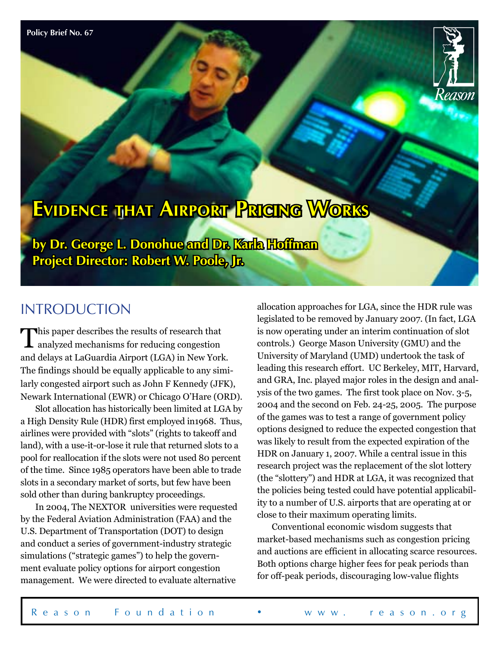

# **Evidence that Airport Pricing Works**

**by Dr. George L. Donohue and Dr. Karla Hoffman Project Director: Robert W. Poole, Jr.**

#### **INTRODUCTION**

This paper describes the results of research that analyzed mechanisms for reducing congestion and delays at LaGuardia Airport (LGA) in New York. The findings should be equally applicable to any similarly congested airport such as John F Kennedy (JFK), Newark International (EWR) or Chicago O'Hare (ORD).

Slot allocation has historically been limited at LGA by a High Density Rule (HDR) first employed in1968. Thus, airlines were provided with "slots" (rights to takeoff and land), with a use-it-or-lose it rule that returned slots to a pool for reallocation if the slots were not used 80 percent of the time. Since 1985 operators have been able to trade slots in a secondary market of sorts, but few have been sold other than during bankruptcy proceedings.

In 2004, The NEXTOR universities were requested by the Federal Aviation Administration (FAA) and the U.S. Department of Transportation (DOT) to design and conduct a series of government-industry strategic simulations ("strategic games") to help the government evaluate policy options for airport congestion management. We were directed to evaluate alternative

allocation approaches for LGA, since the HDR rule was legislated to be removed by January 2007. (In fact, LGA is now operating under an interim continuation of slot controls.) George Mason University (GMU) and the University of Maryland (UMD) undertook the task of leading this research effort. UC Berkeley, MIT, Harvard, and GRA, Inc. played major roles in the design and analysis of the two games. The first took place on Nov. 3-5, 2004 and the second on Feb. 24-25, 2005. The purpose of the games was to test a range of government policy options designed to reduce the expected congestion that was likely to result from the expected expiration of the HDR on January 1, 2007. While a central issue in this research project was the replacement of the slot lottery (the "slottery") and HDR at LGA, it was recognized that the policies being tested could have potential applicability to a number of U.S. airports that are operating at or close to their maximum operating limits.

Conventional economic wisdom suggests that market-based mechanisms such as congestion pricing and auctions are efficient in allocating scarce resources. Both options charge higher fees for peak periods than for off-peak periods, discouraging low-value flights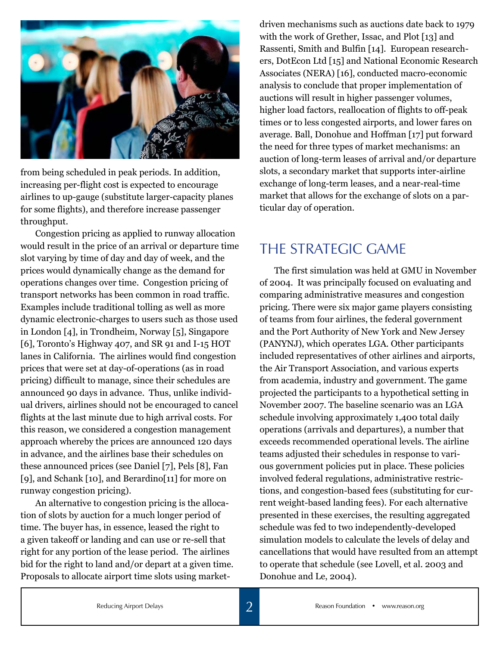

from being scheduled in peak periods. In addition, increasing per-flight cost is expected to encourage airlines to up-gauge (substitute larger-capacity planes for some flights), and therefore increase passenger throughput.

Congestion pricing as applied to runway allocation would result in the price of an arrival or departure time slot varying by time of day and day of week, and the prices would dynamically change as the demand for operations changes over time. Congestion pricing of transport networks has been common in road traffic. Examples include traditional tolling as well as more dynamic electronic-charges to users such as those used in London [4], in Trondheim, Norway [5], Singapore [6], Toronto's Highway 407, and SR 91 and I-15 HOT lanes in California. The airlines would find congestion prices that were set at day-of-operations (as in road pricing) difficult to manage, since their schedules are announced 90 days in advance. Thus, unlike individual drivers, airlines should not be encouraged to cancel flights at the last minute due to high arrival costs. For this reason, we considered a congestion management approach whereby the prices are announced 120 days in advance, and the airlines base their schedules on these announced prices (see Daniel [7], Pels [8], Fan [9], and Schank [10], and Berardino[11] for more on runway congestion pricing).

An alternative to congestion pricing is the allocation of slots by auction for a much longer period of time. The buyer has, in essence, leased the right to a given takeoff or landing and can use or re-sell that right for any portion of the lease period. The airlines bid for the right to land and/or depart at a given time. Proposals to allocate airport time slots using market-

driven mechanisms such as auctions date back to 1979 with the work of Grether, Issac, and Plot [13] and Rassenti, Smith and Bulfin [14]. European researchers, DotEcon Ltd [15] and National Economic Research Associates (NERA) [16], conducted macro-economic analysis to conclude that proper implementation of auctions will result in higher passenger volumes, higher load factors, reallocation of flights to off-peak times or to less congested airports, and lower fares on average. Ball, Donohue and Hoffman [17] put forward the need for three types of market mechanisms: an auction of long-term leases of arrival and/or departure slots, a secondary market that supports inter-airline exchange of long-term leases, and a near-real-time market that allows for the exchange of slots on a particular day of operation.

### The Strategic Game

The first simulation was held at GMU in November of 2004. It was principally focused on evaluating and comparing administrative measures and congestion pricing. There were six major game players consisting of teams from four airlines, the federal government and the Port Authority of New York and New Jersey (PANYNJ), which operates LGA. Other participants included representatives of other airlines and airports, the Air Transport Association, and various experts from academia, industry and government. The game projected the participants to a hypothetical setting in November 2007. The baseline scenario was an LGA schedule involving approximately 1,400 total daily operations (arrivals and departures), a number that exceeds recommended operational levels. The airline teams adjusted their schedules in response to various government policies put in place. These policies involved federal regulations, administrative restrictions, and congestion-based fees (substituting for current weight-based landing fees). For each alternative presented in these exercises, the resulting aggregated schedule was fed to two independently-developed simulation models to calculate the levels of delay and cancellations that would have resulted from an attempt to operate that schedule (see Lovell, et al. 2003 and Donohue and Le, 2004).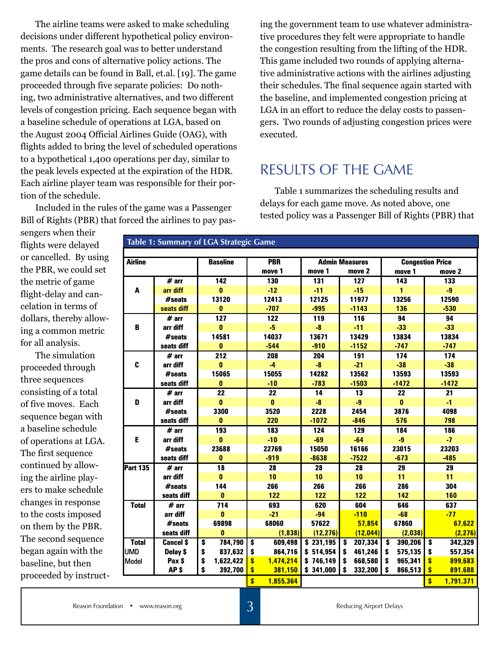The airline teams were asked to make scheduling decisions under different hypothetical policy environments. The research goal was to better understand the pros and cons of alternative policy actions. The game details can be found in Ball, et.al. [19]. The game proceeded through five separate policies: Do nothing, two administrative alternatives, and two different levels of congestion pricing. Each sequence began with a baseline schedule of operations at LGA, based on the August 2004 Official Airlines Guide (OAG), with flights added to bring the level of scheduled operations to a hypothetical 1,400 operations per day, similar to the peak levels expected at the expiration of the HDR. Each airline player team was responsible for their portion of the schedule.

Included in the rules of the game was a Passenger Bill of Rights (PBR) that forced the airlines to pay pasing the government team to use whatever administrative procedures they felt were appropriate to handle the congestion resulting from the lifting of the HDR. This game included two rounds of applying alternative administrative actions with the airlines adjusting their schedules. The final sequence again started with the baseline, and implemented congestion pricing at LGA in an effort to reduce the delay costs to passengers. Two rounds of adjusting congestion prices were executed.

#### Results of the Game

Table 1 summarizes the scheduling results and delays for each game move. As noted above, one tested policy was a Passenger Bill of Rights (PBR) that

sengers when their flights were delayed or cancelled. By using the PBR, we could set the metric of game flight-delay and cancelation in terms of dollars, thereby allowing a common metric for all analysis.

The simulation proceeded through three sequences consisting of a total of five moves. Each sequence began with a baseline schedule of operations at LGA. The first sequence continued by allowing the airline players to make schedule changes in response to the costs imposed on them by the PBR. The second sequence began again with the baseline, but then proceeded by instruct-

| <b>Airline</b>  |                  | <b>Baseline</b>                 | <b>PBR</b>                         | <b>Admin Measures</b> |                   | <b>Congestion Price</b> |                               |
|-----------------|------------------|---------------------------------|------------------------------------|-----------------------|-------------------|-------------------------|-------------------------------|
|                 |                  |                                 | move 1                             | move 1                | move 2            | move 1                  | move 2                        |
|                 | # arr            | $\overline{142}$                | 130                                | $\overline{131}$      | $\overline{127}$  | $\overline{143}$        | 133                           |
| A               | arr diff         | $\mathbf{0}$                    | $-12$                              | $-11$                 | $-15$             | 1                       | $-9$                          |
|                 | #seats           | 13120                           | 12413                              | 12125                 | 11977             | 13256                   | 12590                         |
|                 | seats diff       | 0                               | $-707$                             | $-995$                | $-1143$           | 136                     | $-530$                        |
| B               | # arr            | 127                             | $\overline{122}$                   | 119                   | $\frac{116}{116}$ | 94                      | 94                            |
|                 | arr diff         | $\mathbf{0}$                    | $-5$                               | $-8$                  | $-11$             | $-33$                   | $-33$                         |
|                 | $#s$ eats        | 14581                           | 14037                              | 13671                 | 13429             | 13834                   | 13834                         |
|                 | seats diff       | $\mathbf{0}$                    | $-544$                             | $-910$                | $-1152$           | $-747$                  | $-747$                        |
| C               | $#$ arr          | 212                             | 208                                | 204                   | 191               | 174                     | 174                           |
|                 | arr diff         | $\mathbf{0}$                    | $-4$                               | $-8$                  | $-21$             | $-38$                   | $-38$                         |
|                 | $#s$ eats        | 15065                           | 15055                              | 14282                 | 13562             | 13593                   | 13593                         |
|                 | seats diff       | $\mathbf{0}$                    | $-10$                              | $-783$                | $-1503$           | $-1472$                 | $-1472$                       |
| D               | # arr            | $\overline{22}$                 | 22                                 | 14                    | 13                | $\overline{22}$         | $\overline{21}$               |
|                 | arr diff         | $\mathbf{0}$                    | $\mathbf{0}$                       | $-8$                  | $-9$              | $\mathbf{0}$            | $-1$                          |
|                 | $#s$ eats        | 3300                            | 3520                               | 2228                  | 2454              | 3876                    | 4098                          |
|                 | seats diff       | 0                               | 220                                | $-1072$               | $-846$            | 576                     | 798                           |
| E               | # arr            | 193                             | 183                                | 124                   | $\overline{129}$  | 184                     | 186                           |
|                 | arr diff         | $\mathbf{0}$                    | $-10$                              | $-69$                 | $-64$             | $-9$                    | $-7$                          |
|                 | $#s$ eats        | 23688                           | 22769                              | 15050                 | 16166             | 23015                   | 23203                         |
|                 | seats diff       | $\bf{0}$                        | $-919$                             | $-8638$               | $-7522$           | $-673$                  | $-485$                        |
| <b>Part 135</b> | # arr            | $\overline{18}$                 | 28                                 | 28                    | 28                | 29                      | 29                            |
|                 | arr diff         | $\mathbf{0}$                    | 10                                 | 10                    | 10                | 11                      | 11                            |
|                 | #seats           | 144                             | 266                                | 266                   | 266               | 286                     | 304                           |
|                 | seats diff       | $\mathbf{0}$                    | 122                                | 122                   | 122               | 142                     | 160                           |
| <b>Total</b>    | # arr            | $\overline{714}$                | 693                                | 620                   | 604               | 646                     | 637                           |
|                 | arr diff         | $\mathbf{0}$                    | $-21$                              | $-94$                 | $-110$            | $-68$                   | $-77$                         |
|                 | $#s$ eats        | 69898                           | 68060                              | 57622                 | 57,854            | 67860                   | 67,622                        |
|                 | seats diff       | $\bf{0}$                        | (1,838)                            | (12, 276)             | (12, 044)         | (2,038)                 | (2, 276)                      |
| <b>Total</b>    | <b>Cancel \$</b> | $\overline{\bullet}$<br>784,790 | $\overline{\mathbf{s}}$<br>609,498 | \$231,195             | \$<br>207,334     | \$<br>390,206           | $\overline{\cdot}$<br>342,329 |
| <b>UMD</b>      | Delay \$         | \$<br>837,632                   | \$<br>864,716                      | \$514,954             | 461,246<br>\$     | \$<br>575,135           | \$<br>557,354                 |
| <b>Model</b>    | Pax \$           | \$<br>1,622,422                 | \$<br>1,474,214                    | \$746,149             | \$<br>668,580     | \$<br>965,341           | \$<br>899,683                 |
|                 | AP\$             | \$<br>392,700                   | \$<br>381,150                      | \$341,000             | 332,200           | \$<br>866,513           | \$<br>891,688                 |
|                 |                  |                                 | \$<br>1,855,364                    |                       |                   |                         | $\boldsymbol{s}$<br>1,791,371 |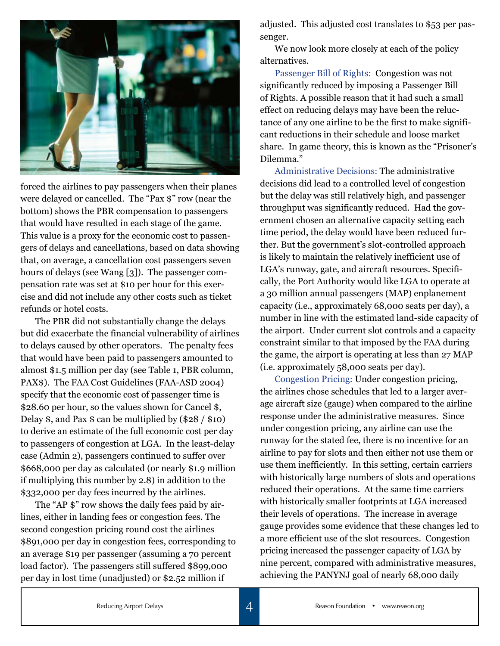

forced the airlines to pay passengers when their planes were delayed or cancelled. The "Pax \$" row (near the bottom) shows the PBR compensation to passengers that would have resulted in each stage of the game. This value is a proxy for the economic cost to passengers of delays and cancellations, based on data showing that, on average, a cancellation cost passengers seven hours of delays (see Wang [3]). The passenger compensation rate was set at \$10 per hour for this exercise and did not include any other costs such as ticket refunds or hotel costs.

The PBR did not substantially change the delays but did exacerbate the financial vulnerability of airlines to delays caused by other operators. The penalty fees that would have been paid to passengers amounted to almost \$1.5 million per day (see Table 1, PBR column, PAX\$). The FAA Cost Guidelines (FAA-ASD 2004) specify that the economic cost of passenger time is \$28.60 per hour, so the values shown for Cancel \$, Delay \$, and Pax \$ can be multiplied by (\$28 / \$10) to derive an estimate of the full economic cost per day to passengers of congestion at LGA. In the least-delay case (Admin 2), passengers continued to suffer over \$668,000 per day as calculated (or nearly \$1.9 million if multiplying this number by 2.8) in addition to the \$332,000 per day fees incurred by the airlines.

The "AP \$" row shows the daily fees paid by airlines, either in landing fees or congestion fees. The second congestion pricing round cost the airlines \$891,000 per day in congestion fees, corresponding to an average \$19 per passenger (assuming a 70 percent load factor). The passengers still suffered \$899,000 per day in lost time (unadjusted) or \$2.52 million if

adjusted. This adjusted cost translates to \$53 per passenger.

We now look more closely at each of the policy alternatives.

Passenger Bill of Rights: Congestion was not significantly reduced by imposing a Passenger Bill of Rights. A possible reason that it had such a small effect on reducing delays may have been the reluctance of any one airline to be the first to make significant reductions in their schedule and loose market share. In game theory, this is known as the "Prisoner's Dilemma."

Administrative Decisions: The administrative decisions did lead to a controlled level of congestion but the delay was still relatively high, and passenger throughput was significantly reduced. Had the government chosen an alternative capacity setting each time period, the delay would have been reduced further. But the government's slot-controlled approach is likely to maintain the relatively inefficient use of LGA's runway, gate, and aircraft resources. Specifically, the Port Authority would like LGA to operate at a 30 million annual passengers (MAP) enplanement capacity (i.e., approximately 68,000 seats per day), a number in line with the estimated land-side capacity of the airport. Under current slot controls and a capacity constraint similar to that imposed by the FAA during the game, the airport is operating at less than 27 MAP (i.e. approximately 58,000 seats per day).

Congestion Pricing: Under congestion pricing, the airlines chose schedules that led to a larger average aircraft size (gauge) when compared to the airline response under the administrative measures. Since under congestion pricing, any airline can use the runway for the stated fee, there is no incentive for an airline to pay for slots and then either not use them or use them inefficiently. In this setting, certain carriers with historically large numbers of slots and operations reduced their operations. At the same time carriers with historically smaller footprints at LGA increased their levels of operations. The increase in average gauge provides some evidence that these changes led to a more efficient use of the slot resources. Congestion pricing increased the passenger capacity of LGA by nine percent, compared with administrative measures, achieving the PANYNJ goal of nearly 68,000 daily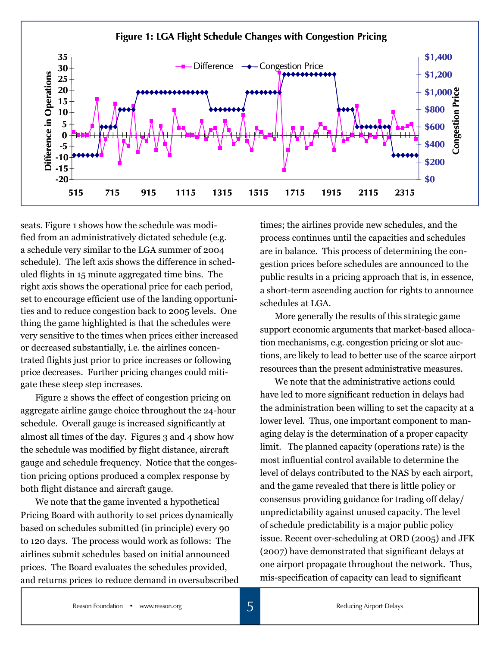

seats. Figure 1 shows how the schedule was modified from an administratively dictated schedule (e.g. a schedule very similar to the LGA summer of 2004 schedule). The left axis shows the difference in scheduled flights in 15 minute aggregated time bins. The right axis shows the operational price for each period, set to encourage efficient use of the landing opportunities and to reduce congestion back to 2005 levels. One thing the game highlighted is that the schedules were very sensitive to the times when prices either increased or decreased substantially, i.e. the airlines concentrated flights just prior to price increases or following price decreases. Further pricing changes could mitigate these steep step increases.

Figure 2 shows the effect of congestion pricing on aggregate airline gauge choice throughout the 24-hour schedule. Overall gauge is increased significantly at almost all times of the day. Figures 3 and 4 show how the schedule was modified by flight distance, aircraft gauge and schedule frequency. Notice that the congestion pricing options produced a complex response by both flight distance and aircraft gauge.

We note that the game invented a hypothetical Pricing Board with authority to set prices dynamically based on schedules submitted (in principle) every 90 to 120 days. The process would work as follows: The airlines submit schedules based on initial announced prices. The Board evaluates the schedules provided, and returns prices to reduce demand in oversubscribed times; the airlines provide new schedules, and the process continues until the capacities and schedules are in balance. This process of determining the congestion prices before schedules are announced to the public results in a pricing approach that is, in essence, a short-term ascending auction for rights to announce schedules at LGA.

More generally the results of this strategic game support economic arguments that market-based allocation mechanisms, e.g. congestion pricing or slot auctions, are likely to lead to better use of the scarce airport resources than the present administrative measures.

We note that the administrative actions could have led to more significant reduction in delays had the administration been willing to set the capacity at a lower level. Thus, one important component to managing delay is the determination of a proper capacity limit. The planned capacity (operations rate) is the most influential control available to determine the level of delays contributed to the NAS by each airport, and the game revealed that there is little policy or consensus providing guidance for trading off delay/ unpredictability against unused capacity. The level of schedule predictability is a major public policy issue. Recent over-scheduling at ORD (2005) and JFK (2007) have demonstrated that significant delays at one airport propagate throughout the network. Thus, mis-specification of capacity can lead to significant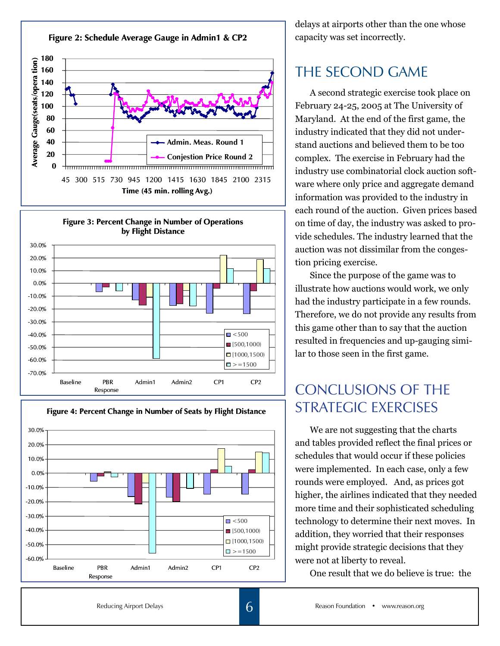







**Figure 4: Percent Change in Number of Seats by Flight Distance**

delays at airports other than the one whose capacity was set incorrectly.

## The Second Game

A second strategic exercise took place on February 24-25, 2005 at The University of Maryland. At the end of the first game, the industry indicated that they did not understand auctions and believed them to be too complex. The exercise in February had the industry use combinatorial clock auction software where only price and aggregate demand information was provided to the industry in each round of the auction. Given prices based on time of day, the industry was asked to provide schedules. The industry learned that the auction was not dissimilar from the congestion pricing exercise.

Since the purpose of the game was to illustrate how auctions would work, we only had the industry participate in a few rounds. Therefore, we do not provide any results from this game other than to say that the auction resulted in frequencies and up-gauging similar to those seen in the first game.

## Conclusions of the Strategic Exercises

We are not suggesting that the charts and tables provided reflect the final prices or schedules that would occur if these policies were implemented. In each case, only a few rounds were employed. And, as prices got higher, the airlines indicated that they needed more time and their sophisticated scheduling technology to determine their next moves. In addition, they worried that their responses might provide strategic decisions that they were not at liberty to reveal.

One result that we do believe is true: the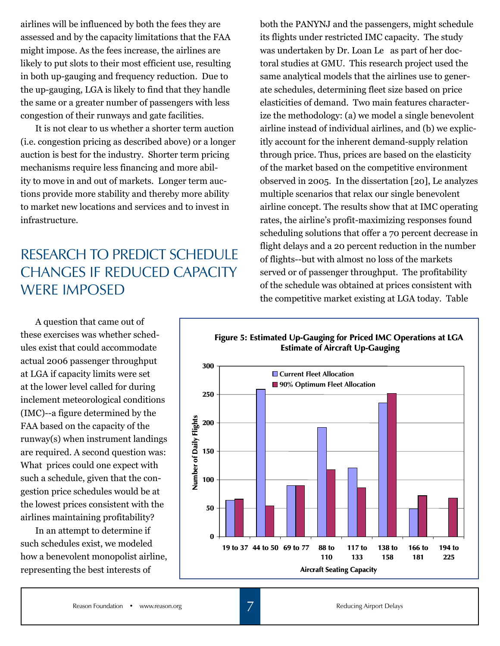airlines will be influenced by both the fees they are assessed and by the capacity limitations that the FAA might impose. As the fees increase, the airlines are likely to put slots to their most efficient use, resulting in both up-gauging and frequency reduction. Due to the up-gauging, LGA is likely to find that they handle the same or a greater number of passengers with less congestion of their runways and gate facilities.

It is not clear to us whether a shorter term auction (i.e. congestion pricing as described above) or a longer auction is best for the industry. Shorter term pricing mechanisms require less financing and more ability to move in and out of markets. Longer term auctions provide more stability and thereby more ability to market new locations and services and to invest in infrastructure.

## Research to Predict Schedule Changes if Reduced Capacity Were Imposed

A question that came out of these exercises was whether schedules exist that could accommodate actual 2006 passenger throughput at LGA if capacity limits were set at the lower level called for during inclement meteorological conditions (IMC)--a figure determined by the FAA based on the capacity of the runway(s) when instrument landings are required. A second question was: What prices could one expect with such a schedule, given that the congestion price schedules would be at the lowest prices consistent with the airlines maintaining profitability?

In an attempt to determine if such schedules exist, we modeled how a benevolent monopolist airline, representing the best interests of

both the PANYNJ and the passengers, might schedule its flights under restricted IMC capacity. The study was undertaken by Dr. Loan Le as part of her doctoral studies at GMU. This research project used the same analytical models that the airlines use to generate schedules, determining fleet size based on price elasticities of demand. Two main features characterize the methodology: (a) we model a single benevolent airline instead of individual airlines, and (b) we explicitly account for the inherent demand-supply relation through price. Thus, prices are based on the elasticity of the market based on the competitive environment observed in 2005. In the dissertation [20], Le analyzes multiple scenarios that relax our single benevolent airline concept. The results show that at IMC operating rates, the airline's profit-maximizing responses found scheduling solutions that offer a 70 percent decrease in flight delays and a 20 percent reduction in the number of flights--but with almost no loss of the markets served or of passenger throughput. The profitability of the schedule was obtained at prices consistent with the competitive market existing at LGA today. Table

#### **Figure 5: Estimated Up-Gauging for Priced IMC Operations at LGA Estimate of Aircraft Up-Gauging**

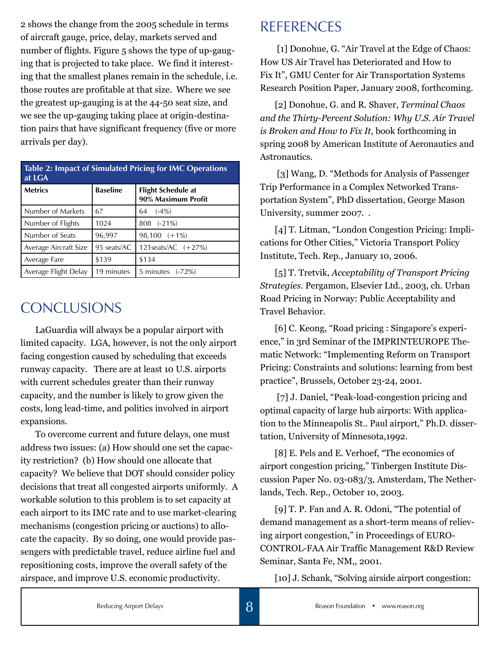2 shows the change from the 2005 schedule in terms of aircraft gauge, price, delay, markets served and number of flights. Figure 5 shows the type of up-gauging that is projected to take place. We find it interesting that the smallest planes remain in the schedule, i.e. those routes are profitable at that size. Where we see the greatest up-gauging is at the 44-50 seat size, and we see the up-gauging taking place at origin-destination pairs that have significant frequency (five or more arrivals per day).

| Table 2: Impact of Simulated Pricing for IMC Operations<br>at LGA |                 |                                                 |  |  |  |  |  |
|-------------------------------------------------------------------|-----------------|-------------------------------------------------|--|--|--|--|--|
| <b>Metrics</b>                                                    | <b>Baseline</b> | <b>Flight Schedule at</b><br>90% Maximum Profit |  |  |  |  |  |
| Number of Markets                                                 | 67              | $(-4%)$<br>64                                   |  |  |  |  |  |
| Number of Flights                                                 | 1024            | 808 (-21%)                                      |  |  |  |  |  |
| Number of Seats                                                   | 96,997          | $98,100 (+1\%)$                                 |  |  |  |  |  |
| Average Aircraft Size                                             | 95 seats/AC     | 121 seats/AC $(+27%)$                           |  |  |  |  |  |
| Average Fare                                                      | \$139           | \$134                                           |  |  |  |  |  |
| Average Flight Delay                                              | 19 minutes      | 5 minutes (-72%)                                |  |  |  |  |  |

### **CONCLUSIONS**

LaGuardia will always be a popular airport with limited capacity. LGA, however, is not the only airport facing congestion caused by scheduling that exceeds runway capacity. There are at least 10 U.S. airports with current schedules greater than their runway capacity, and the number is likely to grow given the costs, long lead-time, and politics involved in airport expansions.

To overcome current and future delays, one must address two issues: (a) How should one set the capacity restriction? (b) How should one allocate that capacity? We believe that DOT should consider policy decisions that treat all congested airports uniformly. A workable solution to this problem is to set capacity at each airport to its IMC rate and to use market-clearing mechanisms (congestion pricing or auctions) to allocate the capacity. By so doing, one would provide passengers with predictable travel, reduce airline fuel and repositioning costs, improve the overall safety of the airspace, and improve U.S. economic productivity.

#### **REFERENCES**

 [1] Donohue, G. "Air Travel at the Edge of Chaos: How US Air Travel has Deteriorated and How to Fix It", GMU Center for Air Transportation Systems Research Position Paper, January 2008, forthcoming.

[2] Donohue, G. and R. Shaver, *Terminal Chaos and the Thirty-Percent Solution: Why U.S. Air Travel is Broken and How to Fix It*, book forthcoming in spring 2008 by American Institute of Aeronautics and Astronautics.

 [3] Wang, D. "Methods for Analysis of Passenger Trip Performance in a Complex Networked Transportation System", PhD dissertation, George Mason University, summer 2007. .

[4] T. Litman, "London Congestion Pricing: Implications for Other Cities," Victoria Transport Policy Institute, Tech. Rep., January 10, 2006.

[5] T. Tretvik, *Acceptability of Transport Pricing Strategies*. Pergamon, Elsevier Ltd., 2003, ch. Urban Road Pricing in Norway: Public Acceptability and Travel Behavior.

[6] C. Keong, "Road pricing : Singapore's experience," in 3rd Seminar of the IMPRINTEUROPE Thematic Network: "Implementing Reform on Transport Pricing: Constraints and solutions: learning from best practice", Brussels, October 23-24, 2001.

 [7] J. Daniel, "Peak-load-congestion pricing and optimal capacity of large hub airports: With application to the Minneapolis St.. Paul airport," Ph.D. dissertation, University of Minnesota,1992.

[8] E. Pels and E. Verhoef, "The economics of airport congestion pricing," Tinbergen Institute Discussion Paper No. 03-083/3, Amsterdam, The Netherlands, Tech. Rep., October 10, 2003.

[9] T. P. Fan and A. R. Odoni, "The potential of demand management as a short-term means of relieving airport congestion," in Proceedings of EURO-CONTROL-FAA Air Traffic Management R&D Review Seminar, Santa Fe, NM,, 2001.

[10] J. Schank, "Solving airside airport congestion: